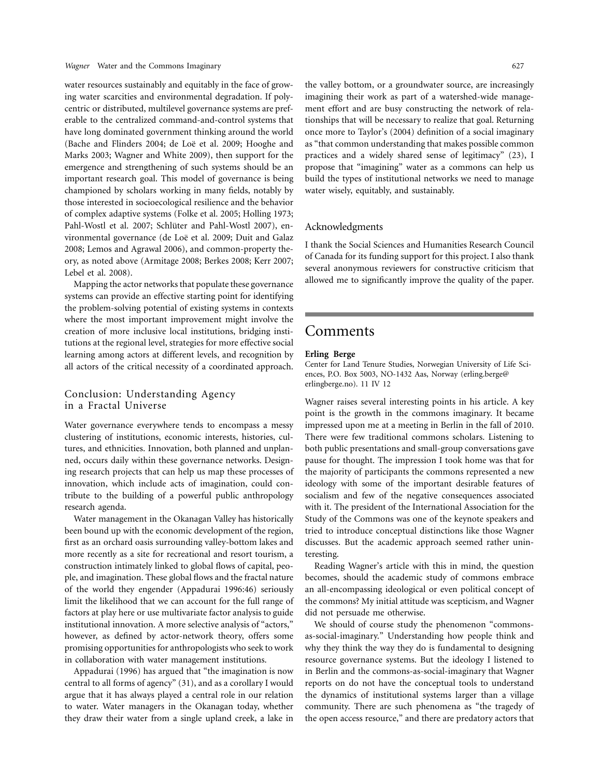water resources sustainably and equitably in the face of growing water scarcities and environmental degradation. If polycentric or distributed, multilevel governance systems are preferable to the centralized command-and-control systems that have long dominated government thinking around the world (Bache and Flinders 2004; de Loë et al. 2009; Hooghe and Marks 2003; Wagner and White 2009), then support for the emergence and strengthening of such systems should be an important research goal. This model of governance is being championed by scholars working in many fields, notably by those interested in socioecological resilience and the behavior of complex adaptive systems (Folke et al. 2005; Holling 1973; Pahl-Wostl et al. 2007; Schlüter and Pahl-Wostl 2007), environmental governance (de Loë et al. 2009; Duit and Galaz 2008; Lemos and Agrawal 2006), and common-property theory, as noted above (Armitage 2008; Berkes 2008; Kerr 2007; Lebel et al. 2008).

Mapping the actor networks that populate these governance systems can provide an effective starting point for identifying the problem-solving potential of existing systems in contexts where the most important improvement might involve the creation of more inclusive local institutions, bridging institutions at the regional level, strategies for more effective social learning among actors at different levels, and recognition by all actors of the critical necessity of a coordinated approach.

## Conclusion: Understanding Agency in a Fractal Universe

Water governance everywhere tends to encompass a messy clustering of institutions, economic interests, histories, cultures, and ethnicities. Innovation, both planned and unplanned, occurs daily within these governance networks. Designing research projects that can help us map these processes of innovation, which include acts of imagination, could contribute to the building of a powerful public anthropology research agenda.

Water management in the Okanagan Valley has historically been bound up with the economic development of the region, first as an orchard oasis surrounding valley-bottom lakes and more recently as a site for recreational and resort tourism, a construction intimately linked to global flows of capital, people, and imagination. These global flows and the fractal nature of the world they engender (Appadurai 1996:46) seriously limit the likelihood that we can account for the full range of factors at play here or use multivariate factor analysis to guide institutional innovation. A more selective analysis of "actors," however, as defined by actor-network theory, offers some promising opportunities for anthropologists who seek to work in collaboration with water management institutions.

Appadurai (1996) has argued that "the imagination is now central to all forms of agency" (31), and as a corollary I would argue that it has always played a central role in our relation to water. Water managers in the Okanagan today, whether they draw their water from a single upland creek, a lake in

the valley bottom, or a groundwater source, are increasingly imagining their work as part of a watershed-wide management effort and are busy constructing the network of relationships that will be necessary to realize that goal. Returning once more to Taylor's (2004) definition of a social imaginary as "that common understanding that makes possible common practices and a widely shared sense of legitimacy" (23), I propose that "imagining" water as a commons can help us build the types of institutional networks we need to manage water wisely, equitably, and sustainably.

### Acknowledgments

I thank the Social Sciences and Humanities Research Council of Canada for its funding support for this project. I also thank several anonymous reviewers for constructive criticism that allowed me to significantly improve the quality of the paper.

# Comments

### **Erling Berge**

Center for Land Tenure Studies, Norwegian University of Life Sciences, P.O. Box 5003, NO-1432 Aas, Norway [\(erling.berge@](mailto:Erling.Berge@erlingberge.no) [erlingberge.no\)](mailto:Erling.Berge@erlingberge.no). 11 IV 12

Wagner raises several interesting points in his article. A key point is the growth in the commons imaginary. It became impressed upon me at a meeting in Berlin in the fall of 2010. There were few traditional commons scholars. Listening to both public presentations and small-group conversations gave pause for thought. The impression I took home was that for the majority of participants the commons represented a new ideology with some of the important desirable features of socialism and few of the negative consequences associated with it. The president of the International Association for the Study of the Commons was one of the keynote speakers and tried to introduce conceptual distinctions like those Wagner discusses. But the academic approach seemed rather uninteresting.

Reading Wagner's article with this in mind, the question becomes, should the academic study of commons embrace an all-encompassing ideological or even political concept of the commons? My initial attitude was scepticism, and Wagner did not persuade me otherwise.

We should of course study the phenomenon "commonsas-social-imaginary." Understanding how people think and why they think the way they do is fundamental to designing resource governance systems. But the ideology I listened to in Berlin and the commons-as-social-imaginary that Wagner reports on do not have the conceptual tools to understand the dynamics of institutional systems larger than a village community. There are such phenomena as "the tragedy of the open access resource," and there are predatory actors that